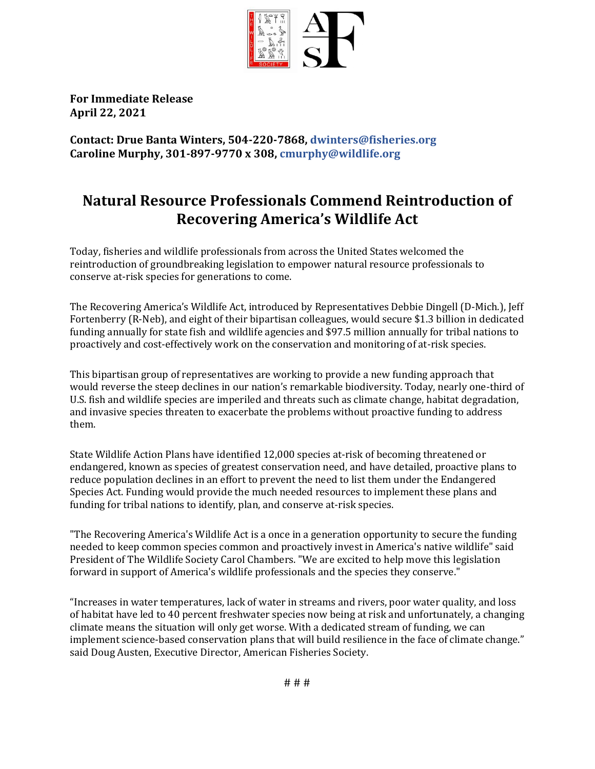

**For Immediate Release April 22, 2021**

**Contact: Drue Banta Winters, 504-220-7868, [dwinters@fisheries.org](mailto:dwinters@fisheries.org) Caroline Murphy, 301-897-9770 x 308, [cmurphy@wildlife.org](mailto:cmurphy@wildlife.org)**

## **Natural Resource Professionals Commend Reintroduction of Recovering America's Wildlife Act**

Today, fisheries and wildlife professionals from across the United States welcomed the reintroduction of groundbreaking legislation to empower natural resource professionals to conserve at-risk species for generations to come.

The Recovering America's Wildlife Act, introduced by Representatives Debbie Dingell (D-Mich.), Jeff Fortenberry (R-Neb), and eight of their bipartisan colleagues, would secure \$1.3 billion in dedicated funding annually for state fish and wildlife agencies and \$97.5 million annually for tribal nations to proactively and cost-effectively work on the conservation and monitoring of at-risk species.

This bipartisan group of representatives are working to provide a new funding approach that would reverse the steep declines in our nation's remarkable biodiversity. Today, nearly one-third of U.S. fish and wildlife species are imperiled and threats such as climate change, habitat degradation, and invasive species threaten to exacerbate the problems without proactive funding to address them.

State Wildlife Action Plans have identified 12,000 species at-risk of becoming threatened or endangered, known as species of greatest conservation need, and have detailed, proactive plans to reduce population declines in an effort to prevent the need to list them under the Endangered Species Act. Funding would provide the much needed resources to implement these plans and funding for tribal nations to identify, plan, and conserve at-risk species.

"The Recovering America's Wildlife Act is a once in a generation opportunity to secure the funding needed to keep common species common and proactively invest in America's native wildlife" said President of The Wildlife Society Carol Chambers. "We are excited to help move this legislation forward in support of America's wildlife professionals and the species they conserve."

"Increases in water temperatures, lack of water in streams and rivers, poor water quality, and loss of habitat have led to 40 percent freshwater species now being at risk and unfortunately, a changing climate means the situation will only get worse. With a dedicated stream of funding, we can implement science-based conservation plans that will build resilience in the face of climate change." said Doug Austen, Executive Director, American Fisheries Society.